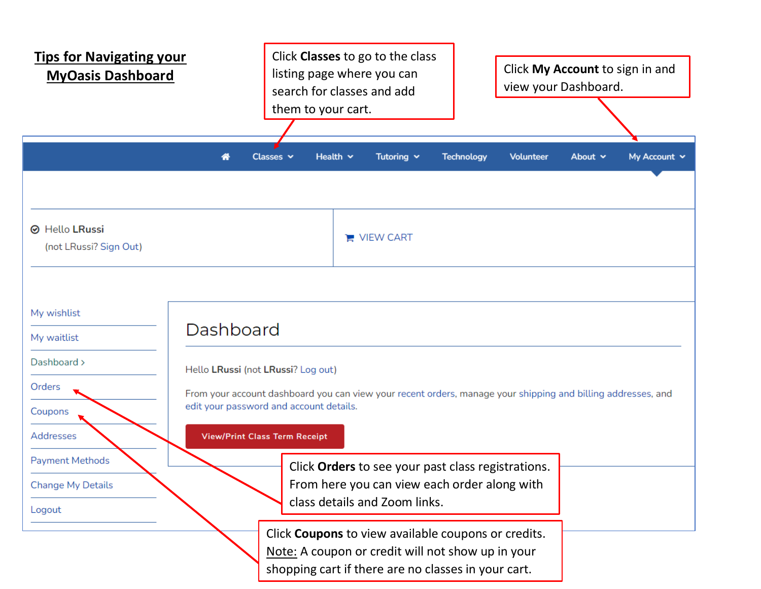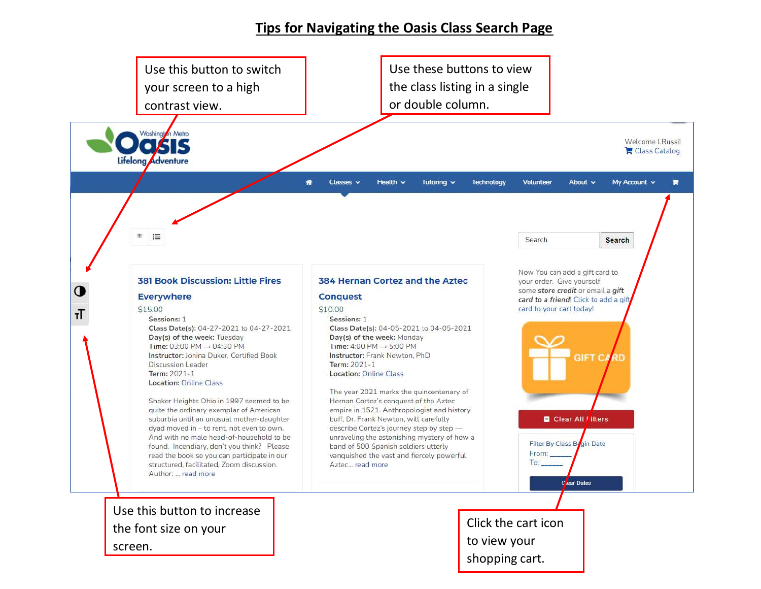## **Tips for Navigating the Oasis Class Search Page**